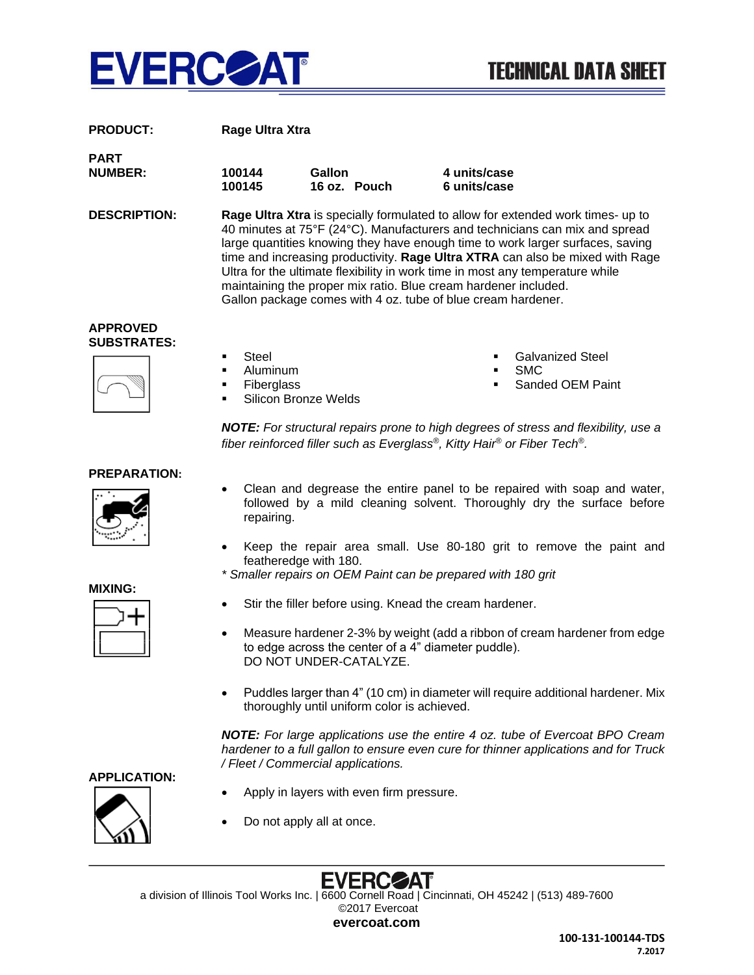

| <b>PRODUCT:</b>               |                  | Rage Ultra Xtra        |                              |  |  |  |  |
|-------------------------------|------------------|------------------------|------------------------------|--|--|--|--|
| <b>PART</b><br><b>NUMBER:</b> | 100144<br>100145 | Gallon<br>16 oz. Pouch | 4 units/case<br>6 units/case |  |  |  |  |
|                               |                  |                        |                              |  |  |  |  |

**DESCRIPTION: Rage Ultra Xtra** is specially formulated to allow for extended work times- up to 40 minutes at 75°F (24°C). Manufacturers and technicians can mix and spread large quantities knowing they have enough time to work larger surfaces, saving time and increasing productivity. **Rage Ultra XTRA** can also be mixed with Rage Ultra for the ultimate flexibility in work time in most any temperature while maintaining the proper mix ratio. Blue cream hardener included. Gallon package comes with 4 oz. tube of blue cream hardener.

## **APPROVED SUBSTRATES:**



- **Steel** 
	- Aluminum
- **Fiberglass**
- Silicon Bronze Welds
- **Galvanized Steel**
- SM<sub>C</sub>
- Sanded OFM Paint

*NOTE: For structural repairs prone to high degrees of stress and flexibility, use a fiber reinforced filler such as Everglass®, Kitty Hair® or Fiber Tech®.*

## **PREPARATION:**



- Clean and degrease the entire panel to be repaired with soap and water, followed by a mild cleaning solvent. Thoroughly dry the surface before repairing.
- Keep the repair area small. Use 80-180 grit to remove the paint and featheredge with 180.
- *\* Smaller repairs on OEM Paint can be prepared with 180 grit*

# **MIXING:**



- Stir the filler before using. Knead the cream hardener.
- Measure hardener 2-3% by weight (add a ribbon of cream hardener from edge to edge across the center of a 4" diameter puddle). DO NOT UNDER-CATALYZE.
- Puddles larger than 4" (10 cm) in diameter will require additional hardener. Mix thoroughly until uniform color is achieved.

*NOTE: For large applications use the entire 4 oz. tube of Evercoat BPO Cream hardener to a full gallon to ensure even cure for thinner applications and for Truck / Fleet / Commercial applications.*

## **APPLICATION:**



- Apply in layers with even firm pressure.
- Do not apply all at once.

EVERCZAT a division of Illinois Tool Works Inc. | 6600 Cornell Road | Cincinnati, OH 45242 | (513) 489-7600 ©2017 Evercoat **evercoat.com**